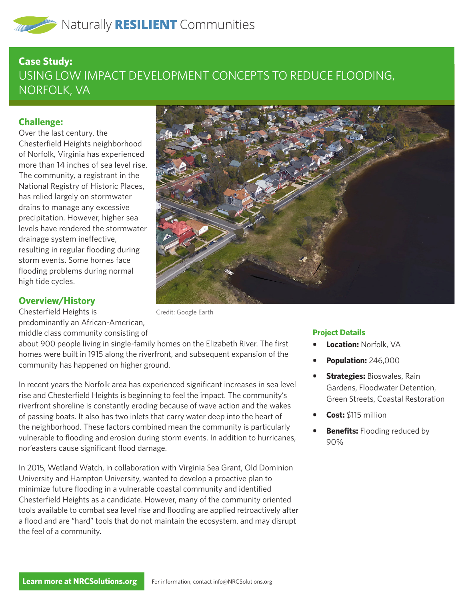# **Case Study:**  USING LOW IMPACT DEVELOPMENT CONCEPTS TO REDUCE FLOODING, NORFOLK, VA

## **Challenge:**

Over the last century, the Chesterfield Heights neighborhood of Norfolk, Virginia has experienced more than 14 inches of sea level rise. The community, a registrant in the National Registry of Historic Places, has relied largely on stormwater drains to manage any excessive precipitation. However, higher sea levels have rendered the stormwater drainage system ineffective, resulting in regular flooding during storm events. Some homes face flooding problems during normal high tide cycles.

### **Overview/History**

Chesterfield Heights is predominantly an African-American, middle class community consisting of

Credit: Google Earth

about 900 people living in single-family homes on the Elizabeth River. The first homes were built in 1915 along the riverfront, and subsequent expansion of the community has happened on higher ground.

In recent years the Norfolk area has experienced significant increases in sea level rise and Chesterfield Heights is beginning to feel the impact. The community's riverfront shoreline is constantly eroding because of wave action and the wakes of passing boats. It also has two inlets that carry water deep into the heart of the neighborhood. These factors combined mean the community is particularly vulnerable to flooding and erosion during storm events. In addition to hurricanes, nor'easters cause significant flood damage.

In 2015, Wetland Watch, in collaboration with Virginia Sea Grant, Old Dominion University and Hampton University, wanted to develop a proactive plan to minimize future flooding in a vulnerable coastal community and identified Chesterfield Heights as a candidate. However, many of the community oriented tools available to combat sea level rise and flooding are applied retroactively after a flood and are "hard" tools that do not maintain the ecosystem, and may disrupt the feel of a community.



#### **Project Details**

- **• Location:** Norfolk, VA
- **• Population:** 246,000
- **• Strategies:** Bioswales, Rain Gardens, Floodwater Detention, Green Streets, Coastal Restoration
- **• Cost:** \$115 million
- **Benefits:** Flooding reduced by 90%